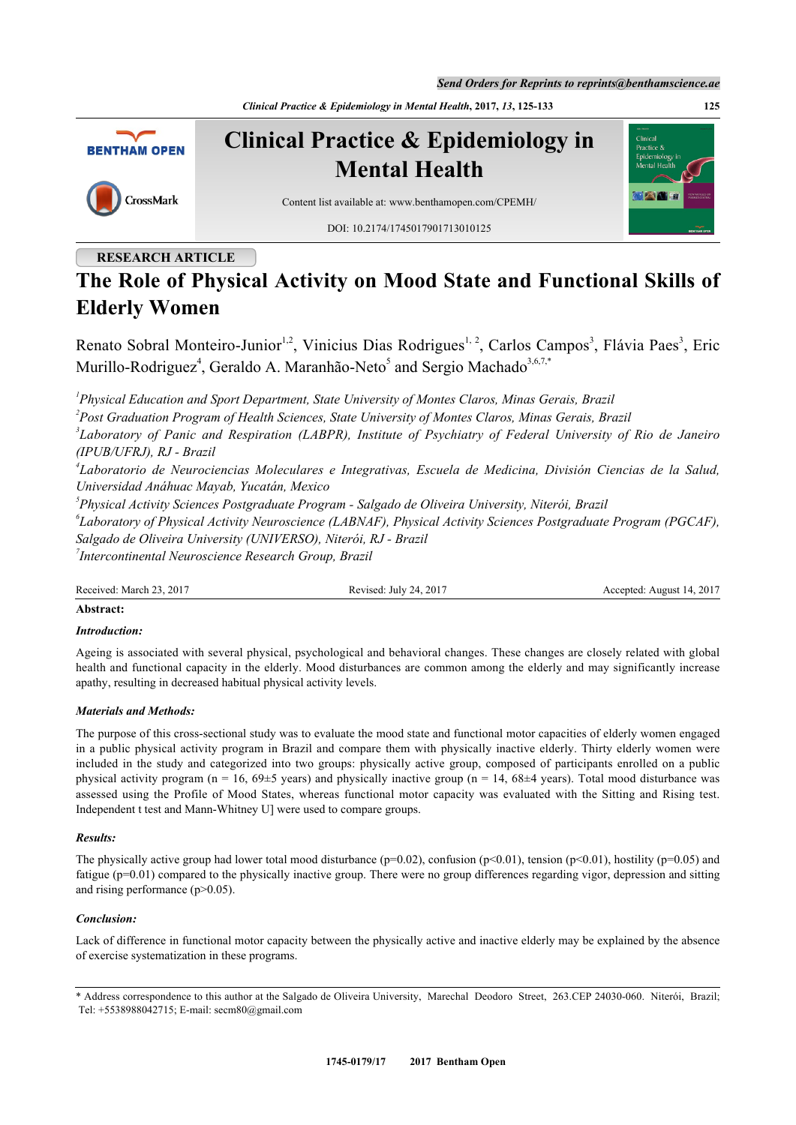*Send Orders for Reprints to reprints@benthamscience.ae*

*Clinical Practice & Epidemiology in Mental Health***, 2017,** *13***, 125-133 125**



# **RESEARCH ARTICLE**

# **The Role of Physical Activity on Mood State and Functional Skills of Elderly Women**

Renato Sobral Monteiro-Junior<sup>[1](#page-0-0),[2](#page-0-1)</sup>, Vinicius Dias Rodrigues<sup>1, [2](#page-0-1)</sup>, Carlos Campos<sup>[3](#page-0-2)</sup>, Flávia Paes<sup>3</sup>, Eric Murillo-Rodriguez<sup>[4](#page-0-3)</sup>, Geraldo A. Maranhão-Neto<sup>[5](#page-0-4)</sup> and Sergio Machado<sup>[3,](#page-0-2)[6](#page-0-5)[,7](#page-0-6)[,\\*](#page-0-7)</sup>

<span id="page-0-0"></span>*1 Physical Education and Sport Department, State University of Montes Claros, Minas Gerais, Brazil*

<span id="page-0-1"></span>*2 Post Graduation Program of Health Sciences, State University of Montes Claros, Minas Gerais, Brazil*

<span id="page-0-2"></span>*3 Laboratory of Panic and Respiration (LABPR), Institute of Psychiatry of Federal University of Rio de Janeiro (IPUB/UFRJ), RJ - Brazil*

<span id="page-0-3"></span>*4 Laboratorio de Neurociencias Moleculares e Integrativas, Escuela de Medicina, División Ciencias de la Salud, Universidad Anáhuac Mayab, Yucatán, Mexico*

<span id="page-0-4"></span>*5 Physical Activity Sciences Postgraduate Program - Salgado de Oliveira University, Niterói, Brazil*

<span id="page-0-5"></span>*6 Laboratory of Physical Activity Neuroscience (LABNAF), Physical Activity Sciences Postgraduate Program (PGCAF), Salgado de Oliveira University (UNIVERSO), Niterói, RJ - Brazil*

<span id="page-0-6"></span>*7 Intercontinental Neuroscience Research Group, Brazil*

Received: March 23, 2017 Revised: July 24, 2017 Accepted: August 14, 2017

### **Abstract:**

## *Introduction:*

Ageing is associated with several physical, psychological and behavioral changes. These changes are closely related with global health and functional capacity in the elderly. Mood disturbances are common among the elderly and may significantly increase apathy, resulting in decreased habitual physical activity levels.

## *Materials and Methods:*

The purpose of this cross-sectional study was to evaluate the mood state and functional motor capacities of elderly women engaged in a public physical activity program in Brazil and compare them with physically inactive elderly. Thirty elderly women were included in the study and categorized into two groups: physically active group, composed of participants enrolled on a public physical activity program (n = 16, 69 $\pm$ 5 years) and physically inactive group (n = 14, 68 $\pm$ 4 years). Total mood disturbance was assessed using the Profile of Mood States, whereas functional motor capacity was evaluated with the Sitting and Rising test. Independent t test and Mann-Whitney U] were used to compare groups.

#### *Results:*

The physically active group had lower total mood disturbance ( $p=0.02$ ), confusion ( $p<0.01$ ), tension ( $p<0.01$ ), hostility ( $p=0.05$ ) and fatigue (p=0.01) compared to the physically inactive group. There were no group differences regarding vigor, depression and sitting and rising performance (p>0.05).

#### *Conclusion:*

Lack of difference in functional motor capacity between the physically active and inactive elderly may be explained by the absence of exercise systematization in these programs.

<span id="page-0-7"></span>\* Address correspondence to this author at the Salgado de Oliveira University, Marechal Deodoro Street, 263.CEP 24030-060. Niterói, Brazil; Tel: +5538988042715; E-mail: [secm80@gmail.com](mailto:secm80@gmail.com)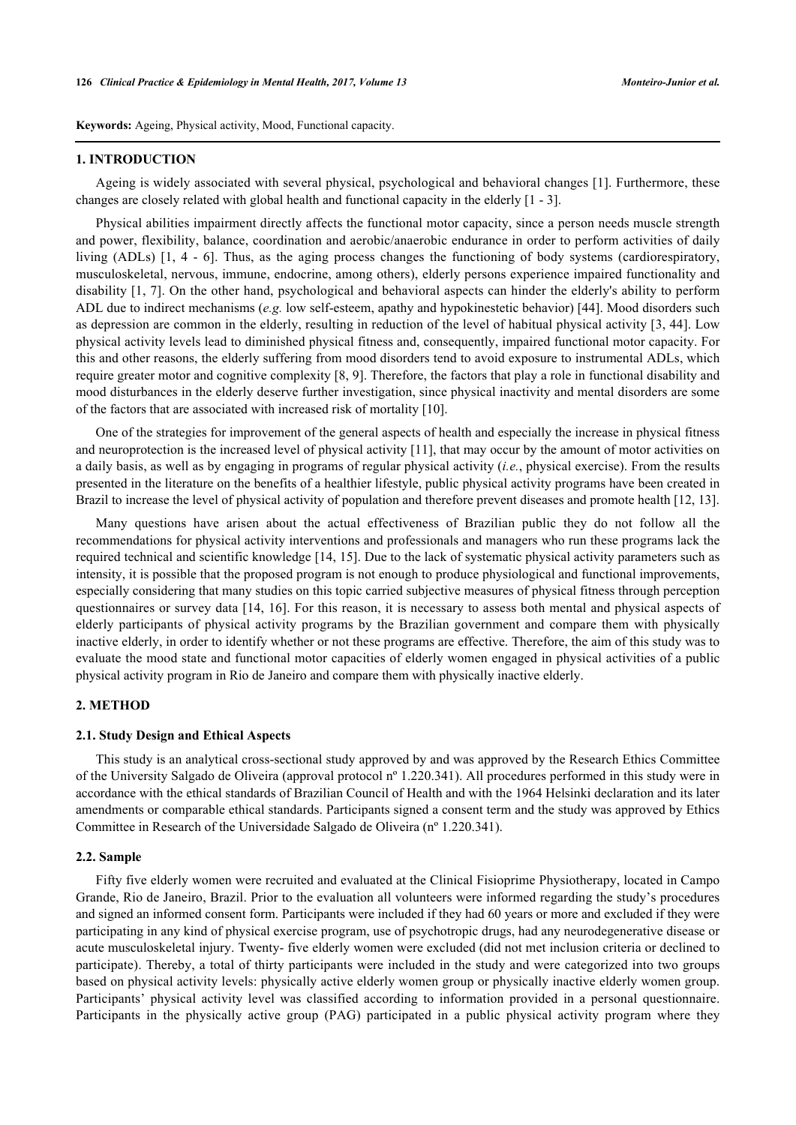**Keywords:** Ageing, Physical activity, Mood, Functional capacity.

#### **1. INTRODUCTION**

Ageing is widely associated with several physical, psychological and behavioral changes [[1\]](#page-6-0). Furthermore, these changes are closely related with global health and functional capacity in the elderly [[1](#page-6-0) - [3](#page-6-1)].

Physical abilities impairment directly affects the functional motor capacity, since a person needs muscle strength and power, flexibility, balance, coordination and aerobic/anaerobic endurance in order to perform activities of daily living (ADLs)[[1,](#page-6-0) [4](#page-6-2) - [6](#page-6-3)]. Thus, as the aging process changes the functioning of body systems (cardiorespiratory, musculoskeletal, nervous, immune, endocrine, among others), elderly persons experience impaired functionality and disability [[1,](#page-6-0) [7\]](#page-6-4). On the other hand, psychological and behavioral aspects can hinder the elderly's ability to perform ADL due to indirect mechanisms (*e.g.* low self-esteem, apathy and hypokinestetic behavior) [\[44](#page-8-0)]. Mood disorders such as depression are common in the elderly, resulting in reduction of the level of habitual physical activity [\[3,](#page-6-1) [44](#page-8-0)]. Low physical activity levels lead to diminished physical fitness and, consequently, impaired functional motor capacity. For this and other reasons, the elderly suffering from mood disorders tend to avoid exposure to instrumental ADLs, which require greater motor and cognitive complexity [[8,](#page-6-5) [9\]](#page-6-6). Therefore, the factors that play a role in functional disability and mood disturbances in the elderly deserve further investigation, since physical inactivity and mental disorders are some of the factors that are associated with increased risk of mortality [\[10](#page-6-7)].

One of the strategies for improvement of the general aspects of health and especially the increase in physical fitness and neuroprotection is the increased level of physical activity [[11\]](#page-6-8), that may occur by the amount of motor activities on a daily basis, as well as by engaging in programs of regular physical activity (*i.e.*, physical exercise). From the results presented in the literature on the benefits of a healthier lifestyle, public physical activity programs have been created in Brazil to increase the level of physical activity of population and therefore prevent diseases and promote health [\[12](#page-6-9), [13](#page-6-10)].

Many questions have arisen about the actual effectiveness of Brazilian public they do not follow all the recommendations for physical activity interventions and professionals and managers who run these programs lack the required technical and scientific knowledge [[14,](#page-6-11) [15](#page-6-12)]. Due to the lack of systematic physical activity parameters such as intensity, it is possible that the proposed program is not enough to produce physiological and functional improvements, especially considering that many studies on this topic carried subjective measures of physical fitness through perception questionnaires or survey data [[14](#page-6-11), [16](#page-6-13)]. For this reason, it is necessary to assess both mental and physical aspects of elderly participants of physical activity programs by the Brazilian government and compare them with physically inactive elderly, in order to identify whether or not these programs are effective. Therefore, the aim of this study was to evaluate the mood state and functional motor capacities of elderly women engaged in physical activities of a public physical activity program in Rio de Janeiro and compare them with physically inactive elderly.

#### **2. METHOD**

#### **2.1. Study Design and Ethical Aspects**

This study is an analytical cross-sectional study approved by and was approved by the Research Ethics Committee of the University Salgado de Oliveira (approval protocol nº 1.220.341). All procedures performed in this study were in accordance with the ethical standards of Brazilian Council of Health and with the 1964 Helsinki declaration and its later amendments or comparable ethical standards. Participants signed a consent term and the study was approved by Ethics Committee in Research of the Universidade Salgado de Oliveira (nº 1.220.341).

#### **2.2. Sample**

Fifty five elderly women were recruited and evaluated at the Clinical Fisioprime Physiotherapy, located in Campo Grande, Rio de Janeiro, Brazil. Prior to the evaluation all volunteers were informed regarding the study's procedures and signed an informed consent form. Participants were included if they had 60 years or more and excluded if they were participating in any kind of physical exercise program, use of psychotropic drugs, had any neurodegenerative disease or acute musculoskeletal injury. Twenty- five elderly women were excluded (did not met inclusion criteria or declined to participate). Thereby, a total of thirty participants were included in the study and were categorized into two groups based on physical activity levels: physically active elderly women group or physically inactive elderly women group. Participants' physical activity level was classified according to information provided in a personal questionnaire. Participants in the physically active group (PAG) participated in a public physical activity program where they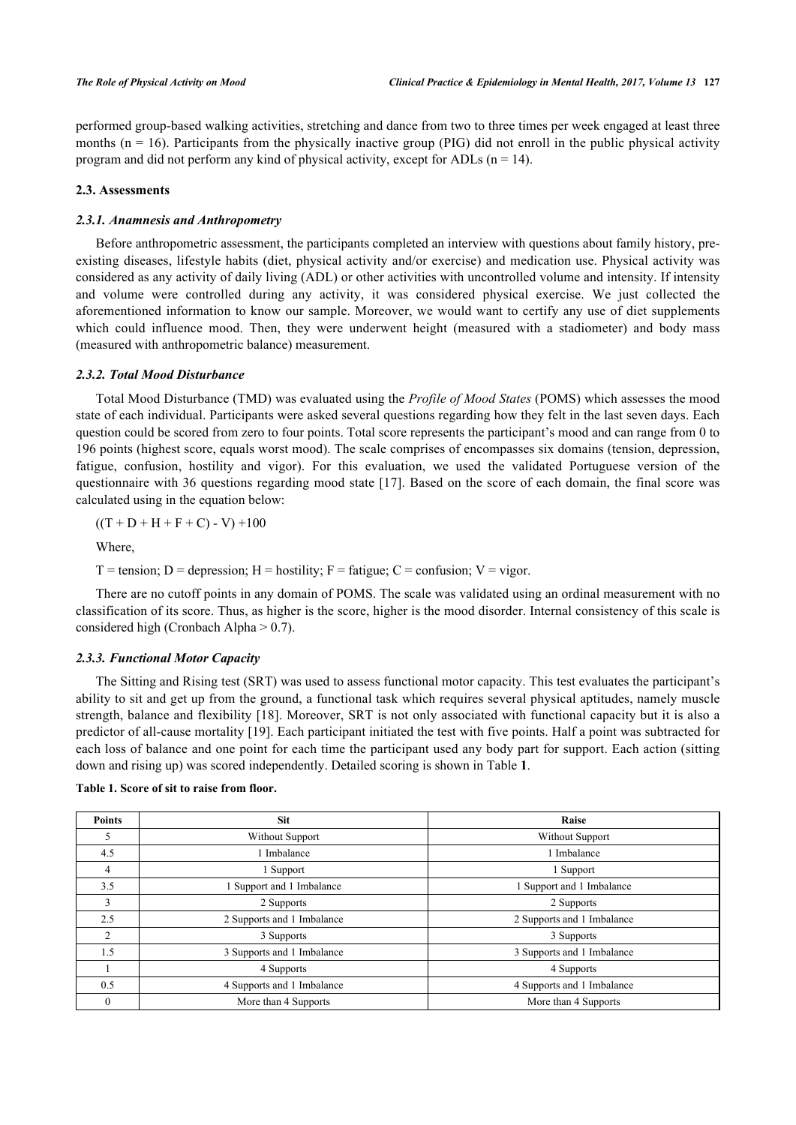performed group-based walking activities, stretching and dance from two to three times per week engaged at least three months  $(n = 16)$ . Participants from the physically inactive group (PIG) did not enroll in the public physical activity program and did not perform any kind of physical activity, except for ADLs ( $n = 14$ ).

#### **2.3. Assessments**

#### *2.3.1. Anamnesis and Anthropometry*

Before anthropometric assessment, the participants completed an interview with questions about family history, preexisting diseases, lifestyle habits (diet, physical activity and/or exercise) and medication use. Physical activity was considered as any activity of daily living (ADL) or other activities with uncontrolled volume and intensity. If intensity and volume were controlled during any activity, it was considered physical exercise. We just collected the aforementioned information to know our sample. Moreover, we would want to certify any use of diet supplements which could influence mood. Then, they were underwent height (measured with a stadiometer) and body mass (measured with anthropometric balance) measurement.

#### *2.3.2. Total Mood Disturbance*

Total Mood Disturbance (TMD) was evaluated using the *Profile of Mood States* (POMS) which assesses the mood state of each individual. Participants were asked several questions regarding how they felt in the last seven days. Each question could be scored from zero to four points. Total score represents the participant's mood and can range from 0 to 196 points (highest score, equals worst mood). The scale comprises of encompasses six domains (tension, depression, fatigue, confusion, hostility and vigor). For this evaluation, we used the validated Portuguese version of the questionnaire with 36 questions regarding mood state [[17](#page-6-14)]. Based on the score of each domain, the final score was calculated using in the equation below:

$$
((T + D + H + F + C) - V) + 100
$$

Where,

 $T =$  tension; D = depression; H = hostility; F = fatigue; C = confusion; V = vigor.

There are no cutoff points in any domain of POMS. The scale was validated using an ordinal measurement with no classification of its score. Thus, as higher is the score, higher is the mood disorder. Internal consistency of this scale is considered high (Cronbach Alpha  $> 0.7$ ).

#### *2.3.3. Functional Motor Capacity*

The Sitting and Rising test (SRT) was used to assess functional motor capacity. This test evaluates the participant's ability to sit and get up from the ground, a functional task which requires several physical aptitudes, namely muscle strength, balance and flexibility [\[18](#page-7-0)]. Moreover, SRT is not only associated with functional capacity but it is also a predictor of all-cause mortality [[19\]](#page-7-1). Each participant initiated the test with five points. Half a point was subtracted for each loss of balance and one point for each time the participant used any body part for support. Each action (sitting down and rising up) was scored independently. Detailed scoring is shown in Table **[1](#page-2-0)**.

<span id="page-2-0"></span>

| Table 1. Score of sit to raise from floor. |  |  |  |  |  |  |  |
|--------------------------------------------|--|--|--|--|--|--|--|
|--------------------------------------------|--|--|--|--|--|--|--|

| <b>Points</b> | <b>Sit</b>                 | Raise                      |  |
|---------------|----------------------------|----------------------------|--|
| 5             | Without Support            | <b>Without Support</b>     |  |
| 4.5           | Imbalance                  | 1 Imbalance                |  |
| 4             | 1 Support                  | 1 Support                  |  |
| 3.5           | 1 Support and 1 Imbalance  | Support and 1 Imbalance    |  |
| 3             | 2 Supports                 | 2 Supports                 |  |
| 2.5           | 2 Supports and 1 Imbalance | 2 Supports and 1 Imbalance |  |
| 2             | 3 Supports                 | 3 Supports                 |  |
| 1.5           | 3 Supports and 1 Imbalance | 3 Supports and 1 Imbalance |  |
|               | 4 Supports                 | 4 Supports                 |  |
| 0.5           | 4 Supports and 1 Imbalance | 4 Supports and 1 Imbalance |  |
| $\theta$      | More than 4 Supports       | More than 4 Supports       |  |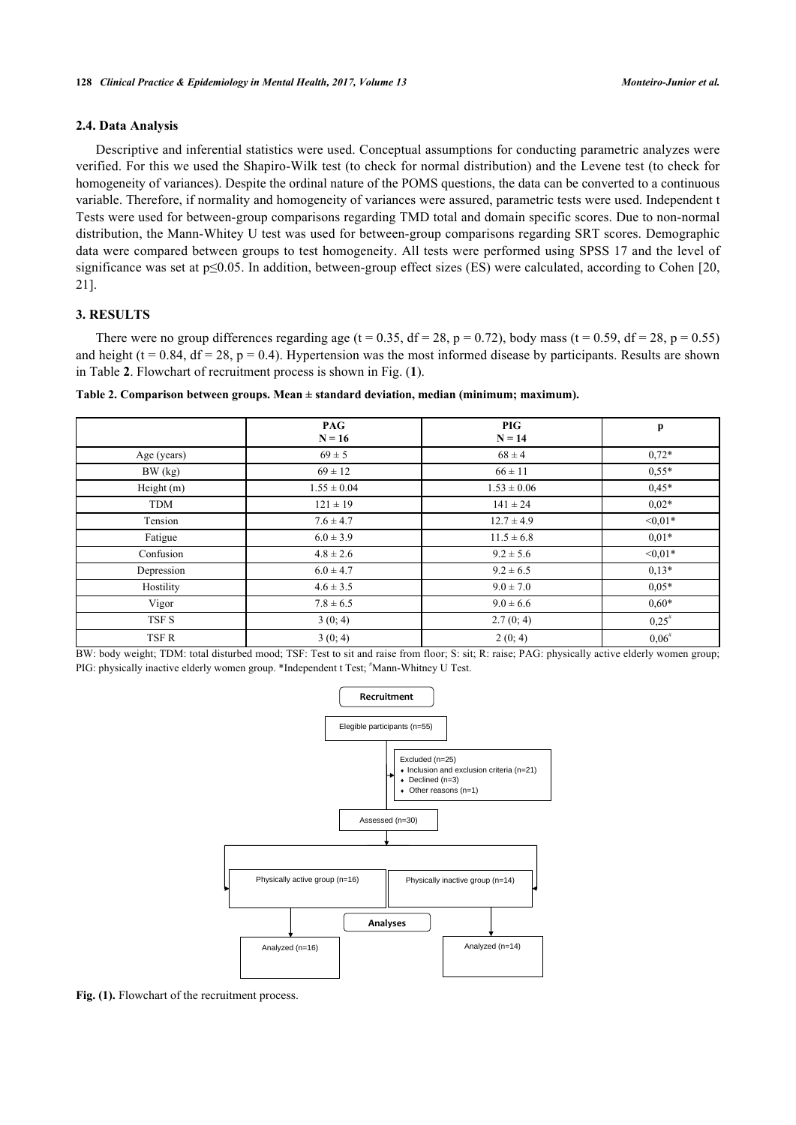#### **2.4. Data Analysis**

Descriptive and inferential statistics were used. Conceptual assumptions for conducting parametric analyzes were verified. For this we used the Shapiro-Wilk test (to check for normal distribution) and the Levene test (to check for homogeneity of variances). Despite the ordinal nature of the POMS questions, the data can be converted to a continuous variable. Therefore, if normality and homogeneity of variances were assured, parametric tests were used. Independent t Tests were used for between-group comparisons regarding TMD total and domain specific scores. Due to non-normal distribution, the Mann-Whitey U test was used for between-group comparisons regarding SRT scores. Demographic data were compared between groups to test homogeneity. All tests were performed using SPSS 17 and the level of significance was set at p≤0.05. In addition, between-group effect sizes (ES) were calculated, according to Cohen [[20](#page-7-2), [21\]](#page-7-3).

## **3. RESULTS**

There were no group differences regarding age (t = 0.35, df = 28, p = 0.72), body mass (t = 0.59, df = 28, p = 0.55) and height ( $t = 0.84$ ,  $df = 28$ ,  $p = 0.4$ ). Hypertension was the most informed disease by participants. Results are shown in Table **[2](#page-3-0)**. Flowchart of recruitment process is shown in Fig. (**[1](#page-3-1)**).

<span id="page-3-0"></span>

|  | Table 2. Comparison between groups. Mean ± standard deviation, median (minimum; maximum). |  |  |
|--|-------------------------------------------------------------------------------------------|--|--|
|  |                                                                                           |  |  |

|             | <b>PAG</b><br>$N = 16$ | <b>PIG</b><br>$N = 14$ | $\mathbf{p}$ |
|-------------|------------------------|------------------------|--------------|
| Age (years) | $69 \pm 5$             | $68 \pm 4$             | $0.72*$      |
| BW (kg)     | $69 \pm 12$            | $66 \pm 11$            | $0,55*$      |
| Height (m)  | $1.55 \pm 0.04$        | $1.53 \pm 0.06$        | $0.45*$      |
| <b>TDM</b>  | $121 \pm 19$           | $141 \pm 24$           | $0.02*$      |
| Tension     | $7.6 \pm 4.7$          | $12.7 \pm 4.9$         | $<0.01*$     |
| Fatigue     | $6.0 \pm 3.9$          | $11.5 \pm 6.8$         | $0.01*$      |
| Confusion   | $4.8 \pm 2.6$          | $9.2 \pm 5.6$          | $< 0.01*$    |
| Depression  | $6.0 \pm 4.7$          | $9.2 \pm 6.5$          | $0,13*$      |
| Hostility   | $4.6 \pm 3.5$          | $9.0 \pm 7.0$          | $0.05*$      |
| Vigor       | $7.8 \pm 6.5$          | $9.0 \pm 6.6$          | $0,60*$      |
| TSF S       | 3(0; 4)                | 2.7(0; 4)              | $0.25^*$     |
| TSF R       | 3(0; 4)                | 2(0; 4)                | $0,06^{\#}$  |

<span id="page-3-1"></span>BW: body weight; TDM: total disturbed mood; TSF: Test to sit and raise from floor; S: sit; R: raise; PAG: physically active elderly women group; PIG: physically inactive elderly women group. \*Independent t Test; \*Mann-Whitney U Test.



Fig. (1). Flowchart of the recruitment process.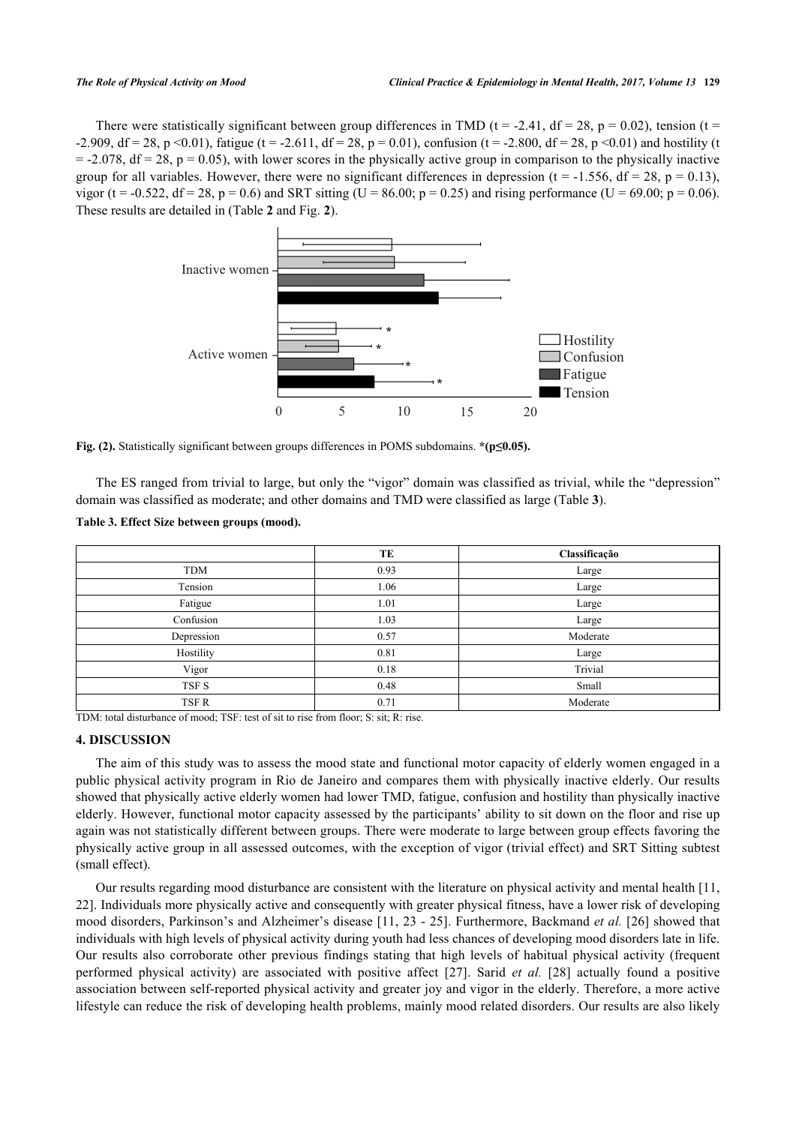<span id="page-4-0"></span>There were statistically significant between group differences in TMD (t = -2.41, df = 28, p = 0.02), tension (t = -2.909, df = 28, p <0.01), fatigue (t = -2.611, df = 28, p = 0.01), confusion (t = -2.800, df = 28, p <0.01) and hostility (t  $= -2.078$ , df = 28, p = 0.05), with lower scores in the physically active group in comparison to the physically inactive group for all variables. However, there were no significant differences in depression ( $t = -1.556$ ,  $df = 28$ ,  $p = 0.13$ ), vigor (t = -0.522, df = 28, p = 0.6) and SRT sitting (U = 86.00; p = 0.25) and rising performance (U = 69.00; p = 0.06). These results are detailed in (Table **[2](#page-3-0)** and Fig. **[2](#page-4-0)**).



**Fig. (2).** Statistically significant between groups differences in POMS subdomains. **\*(p≤0.05).**

The ES ranged from trivial to large, but only the "vigor" domain was classified as trivial, while the "depression" domain was classified as moderate; and other domains and TMD were classified as large (Table **[3](#page-4-1)**).

<span id="page-4-1"></span>

| Table 3. Effect Size between groups (mood). |  |  |  |  |  |  |  |
|---------------------------------------------|--|--|--|--|--|--|--|
|---------------------------------------------|--|--|--|--|--|--|--|

|            | TE   | Classificação |
|------------|------|---------------|
| <b>TDM</b> | 0.93 | Large         |
| Tension    | 1.06 | Large         |
| Fatigue    | 1.01 | Large         |
| Confusion  | 1.03 | Large         |
| Depression | 0.57 | Moderate      |
| Hostility  | 0.81 | Large         |
| Vigor      | 0.18 | Trivial       |
| TSF S      | 0.48 | Small         |
| TSF R      | 0.71 | Moderate      |

TDM: total disturbance of mood; TSF: test of sit to rise from floor; S: sit; R: rise.

#### **4. DISCUSSION**

The aim of this study was to assess the mood state and functional motor capacity of elderly women engaged in a public physical activity program in Rio de Janeiro and compares them with physically inactive elderly. Our results showed that physically active elderly women had lower TMD, fatigue, confusion and hostility than physically inactive elderly. However, functional motor capacity assessed by the participants' ability to sit down on the floor and rise up again was not statistically different between groups. There were moderate to large between group effects favoring the physically active group in all assessed outcomes, with the exception of vigor (trivial effect) and SRT Sitting subtest (small effect).

Our results regarding mood disturbance are consistent with the literature on physical activity and mental health [[11](#page-6-8), [22\]](#page-7-4). Individuals more physically active and consequently with greater physical fitness, have a lower risk of developing mood disorders, Parkinson's and Alzheimer's disease [[11,](#page-6-8) [23](#page-7-5) - [25\]](#page-7-6). Furthermore, Backmand *et al.* [\[26](#page-7-7)] showed that individuals with high levels of physical activity during youth had less chances of developing mood disorders late in life. Our results also corroborate other previous findings stating that high levels of habitual physical activity (frequent performed physical activity) are associated with positive affect[[27](#page-7-8)]. Sarid *et al.* [[28\]](#page-7-9) actually found a positive association between self-reported physical activity and greater joy and vigor in the elderly. Therefore, a more active lifestyle can reduce the risk of developing health problems, mainly mood related disorders. Our results are also likely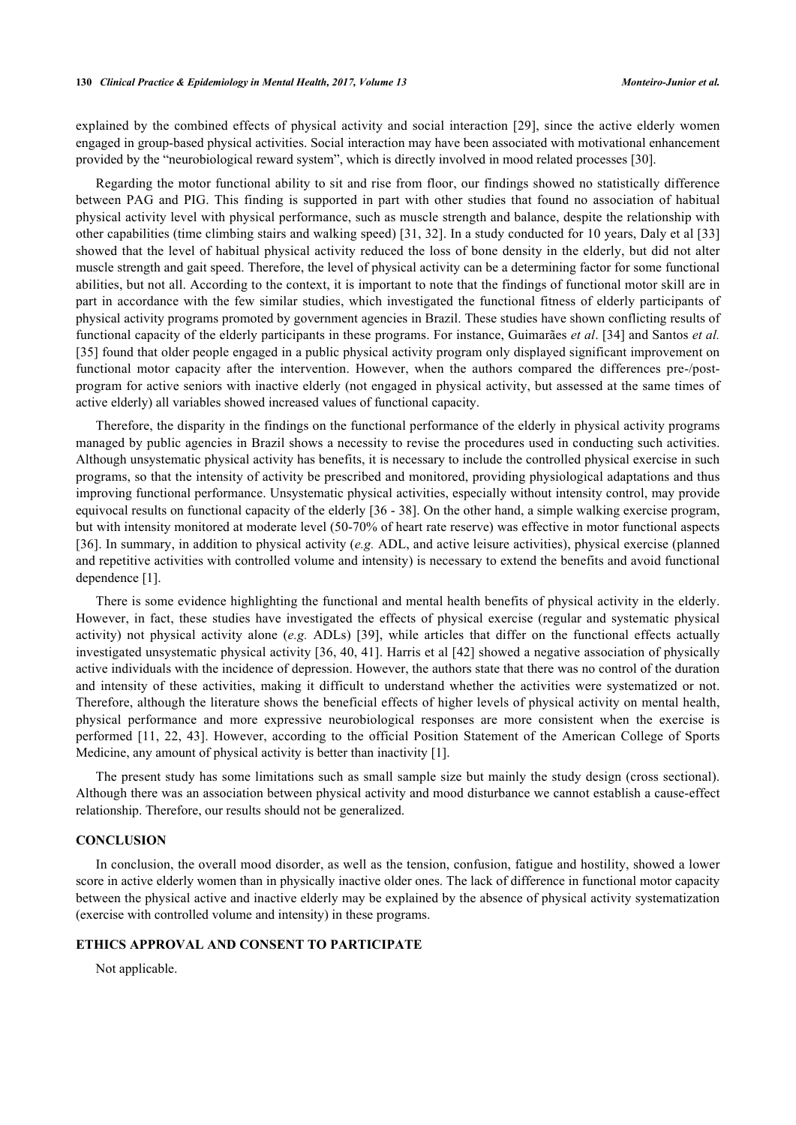explained by the combined effects of physical activity and social interaction [\[29\]](#page-7-10), since the active elderly women engaged in group-based physical activities. Social interaction may have been associated with motivational enhancement provided by the "neurobiological reward system", which is directly involved in mood related processes [\[30](#page-7-11)].

Regarding the motor functional ability to sit and rise from floor, our findings showed no statistically difference between PAG and PIG. This finding is supported in part with other studies that found no association of habitual physical activity level with physical performance, such as muscle strength and balance, despite the relationship with other capabilities (time climbing stairs and walking speed) [[31,](#page-7-12) [32](#page-7-13)]. In a study conducted for 10 years, Daly et al [\[33](#page-7-14)] showed that the level of habitual physical activity reduced the loss of bone density in the elderly, but did not alter muscle strength and gait speed. Therefore, the level of physical activity can be a determining factor for some functional abilities, but not all. According to the context, it is important to note that the findings of functional motor skill are in part in accordance with the few similar studies, which investigated the functional fitness of elderly participants of physical activity programs promoted by government agencies in Brazil. These studies have shown conflicting results of functional capacity of the elderly participants in these programs. For instance, Guimarães *et al*. [[34](#page-7-15)] and Santos *et al.* [\[35](#page-7-16)] found that older people engaged in a public physical activity program only displayed significant improvement on functional motor capacity after the intervention. However, when the authors compared the differences pre-/postprogram for active seniors with inactive elderly (not engaged in physical activity, but assessed at the same times of active elderly) all variables showed increased values of functional capacity.

Therefore, the disparity in the findings on the functional performance of the elderly in physical activity programs managed by public agencies in Brazil shows a necessity to revise the procedures used in conducting such activities. Although unsystematic physical activity has benefits, it is necessary to include the controlled physical exercise in such programs, so that the intensity of activity be prescribed and monitored, providing physiological adaptations and thus improving functional performance. Unsystematic physical activities, especially without intensity control, may provide equivocal results on functional capacity of the elderly [[36](#page-7-17) - [38](#page-7-18)]. On the other hand, a simple walking exercise program, but with intensity monitored at moderate level (50-70% of heart rate reserve) was effective in motor functional aspects [\[36](#page-7-17)]. In summary, in addition to physical activity (*e.g.* ADL, and active leisure activities), physical exercise (planned and repetitive activities with controlled volume and intensity) is necessary to extend the benefits and avoid functional dependence [[1\]](#page-6-0).

There is some evidence highlighting the functional and mental health benefits of physical activity in the elderly. However, in fact, these studies have investigated the effects of physical exercise (regular and systematic physical activity) not physical activity alone (*e.g.* ADLs) [\[39](#page-8-1)], while articles that differ on the functional effects actually investigated unsystematic physical activity [[36](#page-7-17), [40,](#page-8-2) [41](#page-8-3)]. Harris et al [[42\]](#page-8-4) showed a negative association of physically active individuals with the incidence of depression. However, the authors state that there was no control of the duration and intensity of these activities, making it difficult to understand whether the activities were systematized or not. Therefore, although the literature shows the beneficial effects of higher levels of physical activity on mental health, physical performance and more expressive neurobiological responses are more consistent when the exercise is performed [[11,](#page-6-8) [22](#page-7-4), [43\]](#page-8-5). However, according to the official Position Statement of the American College of Sports Medicine, any amount of physical activity is better than inactivity [[1\]](#page-6-0).

The present study has some limitations such as small sample size but mainly the study design (cross sectional). Although there was an association between physical activity and mood disturbance we cannot establish a cause-effect relationship. Therefore, our results should not be generalized.

## **CONCLUSION**

In conclusion, the overall mood disorder, as well as the tension, confusion, fatigue and hostility, showed a lower score in active elderly women than in physically inactive older ones. The lack of difference in functional motor capacity between the physical active and inactive elderly may be explained by the absence of physical activity systematization (exercise with controlled volume and intensity) in these programs.

## **ETHICS APPROVAL AND CONSENT TO PARTICIPATE**

Not applicable.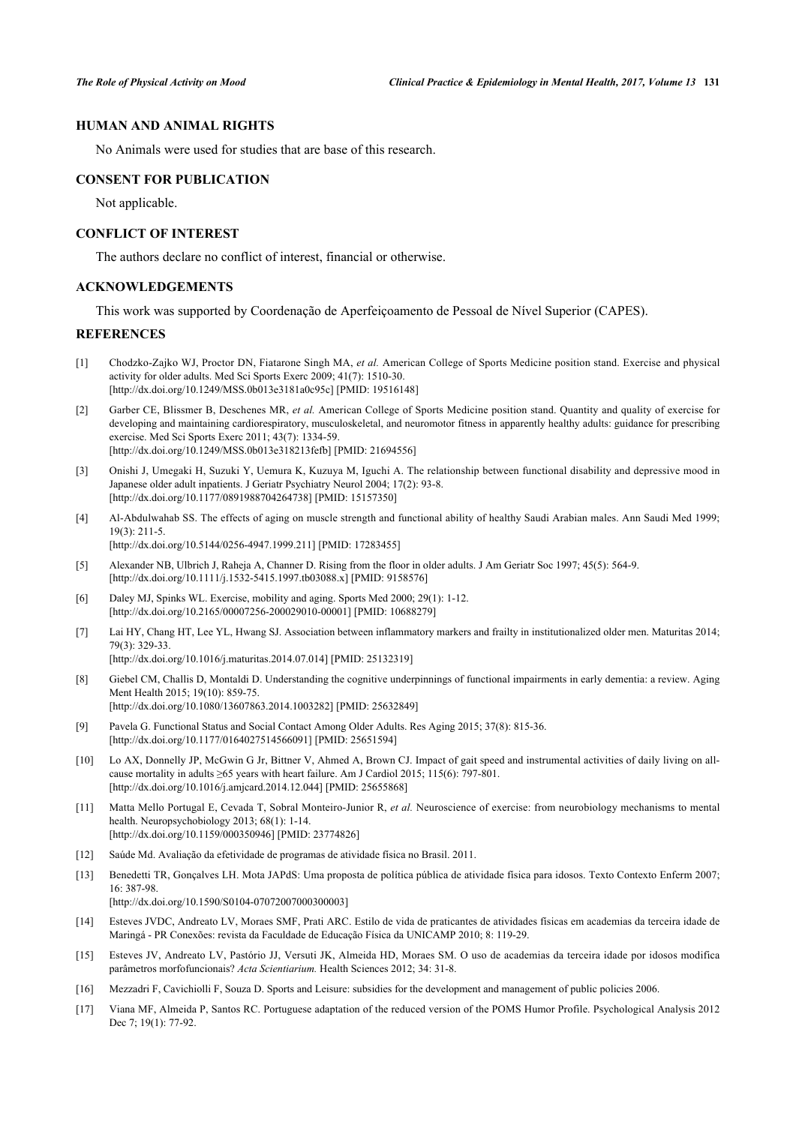#### **HUMAN AND ANIMAL RIGHTS**

No Animals were used for studies that are base of this research.

#### **CONSENT FOR PUBLICATION**

Not applicable.

## **CONFLICT OF INTEREST**

The authors declare no conflict of interest, financial or otherwise.

## **ACKNOWLEDGEMENTS**

This work was supported by Coordenação de Aperfeiçoamento de Pessoal de Nível Superior (CAPES).

#### **REFERENCES**

- <span id="page-6-0"></span>[1] Chodzko-Zajko WJ, Proctor DN, Fiatarone Singh MA, *et al.* American College of Sports Medicine position stand. Exercise and physical activity for older adults. Med Sci Sports Exerc 2009; 41(7): 1510-30. [\[http://dx.doi.org/10.1249/MSS.0b013e3181a0c95c](http://dx.doi.org/10.1249/MSS.0b013e3181a0c95c)] [PMID: [19516148\]](http://www.ncbi.nlm.nih.gov/pubmed/19516148)
- [2] Garber CE, Blissmer B, Deschenes MR, *et al.* American College of Sports Medicine position stand. Quantity and quality of exercise for developing and maintaining cardiorespiratory, musculoskeletal, and neuromotor fitness in apparently healthy adults: guidance for prescribing exercise. Med Sci Sports Exerc 2011; 43(7): 1334-59. [\[http://dx.doi.org/10.1249/MSS.0b013e318213fefb](http://dx.doi.org/10.1249/MSS.0b013e318213fefb)] [PMID: [21694556\]](http://www.ncbi.nlm.nih.gov/pubmed/21694556)
- <span id="page-6-1"></span>[3] Onishi J, Umegaki H, Suzuki Y, Uemura K, Kuzuya M, Iguchi A. The relationship between functional disability and depressive mood in Japanese older adult inpatients. J Geriatr Psychiatry Neurol 2004; 17(2): 93-8. [\[http://dx.doi.org/10.1177/0891988704264738\]](http://dx.doi.org/10.1177/0891988704264738) [PMID: [15157350](http://www.ncbi.nlm.nih.gov/pubmed/15157350)]
- <span id="page-6-2"></span>[4] Al-Abdulwahab SS. The effects of aging on muscle strength and functional ability of healthy Saudi Arabian males. Ann Saudi Med 1999; 19(3): 211-5.

[\[http://dx.doi.org/10.5144/0256-4947.1999.211](http://dx.doi.org/10.5144/0256-4947.1999.211)] [PMID: [17283455](http://www.ncbi.nlm.nih.gov/pubmed/17283455)]

- [5] Alexander NB, Ulbrich J, Raheja A, Channer D. Rising from the floor in older adults. J Am Geriatr Soc 1997; 45(5): 564-9. [\[http://dx.doi.org/10.1111/j.1532-5415.1997.tb03088.x\]](http://dx.doi.org/10.1111/j.1532-5415.1997.tb03088.x) [PMID: [9158576](http://www.ncbi.nlm.nih.gov/pubmed/9158576)]
- <span id="page-6-3"></span>[6] Daley MJ, Spinks WL. Exercise, mobility and aging. Sports Med 2000; 29(1): 1-12. [\[http://dx.doi.org/10.2165/00007256-200029010-00001](http://dx.doi.org/10.2165/00007256-200029010-00001)] [PMID: [10688279\]](http://www.ncbi.nlm.nih.gov/pubmed/10688279)
- <span id="page-6-4"></span>[7] Lai HY, Chang HT, Lee YL, Hwang SJ. Association between inflammatory markers and frailty in institutionalized older men. Maturitas 2014; 79(3): 329-33.

[\[http://dx.doi.org/10.1016/j.maturitas.2014.07.014\]](http://dx.doi.org/10.1016/j.maturitas.2014.07.014) [PMID: [25132319](http://www.ncbi.nlm.nih.gov/pubmed/25132319)]

- <span id="page-6-5"></span>[8] Giebel CM, Challis D, Montaldi D. Understanding the cognitive underpinnings of functional impairments in early dementia: a review. Aging Ment Health 2015; 19(10): 859-75. [\[http://dx.doi.org/10.1080/13607863.2014.1003282\]](http://dx.doi.org/10.1080/13607863.2014.1003282) [PMID: [25632849](http://www.ncbi.nlm.nih.gov/pubmed/25632849)]
- <span id="page-6-6"></span>[9] Pavela G. Functional Status and Social Contact Among Older Adults. Res Aging 2015; 37(8): 815-36. [\[http://dx.doi.org/10.1177/0164027514566091\]](http://dx.doi.org/10.1177/0164027514566091) [PMID: [25651594](http://www.ncbi.nlm.nih.gov/pubmed/25651594)]
- <span id="page-6-7"></span>[10] Lo AX, Donnelly JP, McGwin G Jr, Bittner V, Ahmed A, Brown CJ. Impact of gait speed and instrumental activities of daily living on allcause mortality in adults  $\geq 65$  years with heart failure. Am J Cardiol 2015; 115(6): 797-801. [\[http://dx.doi.org/10.1016/j.amjcard.2014.12.044\]](http://dx.doi.org/10.1016/j.amjcard.2014.12.044) [PMID: [25655868](http://www.ncbi.nlm.nih.gov/pubmed/25655868)]
- <span id="page-6-8"></span>[11] Matta Mello Portugal E, Cevada T, Sobral Monteiro-Junior R, *et al.* Neuroscience of exercise: from neurobiology mechanisms to mental health. Neuropsychobiology 2013; 68(1): 1-14. [\[http://dx.doi.org/10.1159/000350946\]](http://dx.doi.org/10.1159/000350946) [PMID: [23774826](http://www.ncbi.nlm.nih.gov/pubmed/23774826)]
- <span id="page-6-9"></span>[12] Saúde Md. Avaliação da efetividade de programas de atividade física no Brasil. 2011.
- <span id="page-6-10"></span>[13] Benedetti TR, Gonçalves LH. Mota JAPdS: Uma proposta de política pública de atividade física para idosos. Texto Contexto Enferm 2007; 16: 387-98. [\[http://dx.doi.org/10.1590/S0104-07072007000300003\]](http://dx.doi.org/10.1590/S0104-07072007000300003)
- <span id="page-6-11"></span>[14] Esteves JVDC, Andreato LV, Moraes SMF, Prati ARC. Estilo de vida de praticantes de atividades físicas em academias da terceira idade de Maringá - PR Conexões: revista da Faculdade de Educação Física da UNICAMP 2010; 8: 119-29.
- <span id="page-6-12"></span>[15] Esteves JV, Andreato LV, Pastório JJ, Versuti JK, Almeida HD, Moraes SM. O uso de academias da terceira idade por idosos modifica parâmetros morfofuncionais? *Acta Scientiarium.* Health Sciences 2012; 34: 31-8.
- <span id="page-6-13"></span>[16] Mezzadri F, Cavichiolli F, Souza D. Sports and Leisure: subsidies for the development and management of public policies 2006.
- <span id="page-6-14"></span>[17] Viana MF, Almeida P, Santos RC. Portuguese adaptation of the reduced version of the POMS Humor Profile. Psychological Analysis 2012 Dec 7; 19(1): 77-92.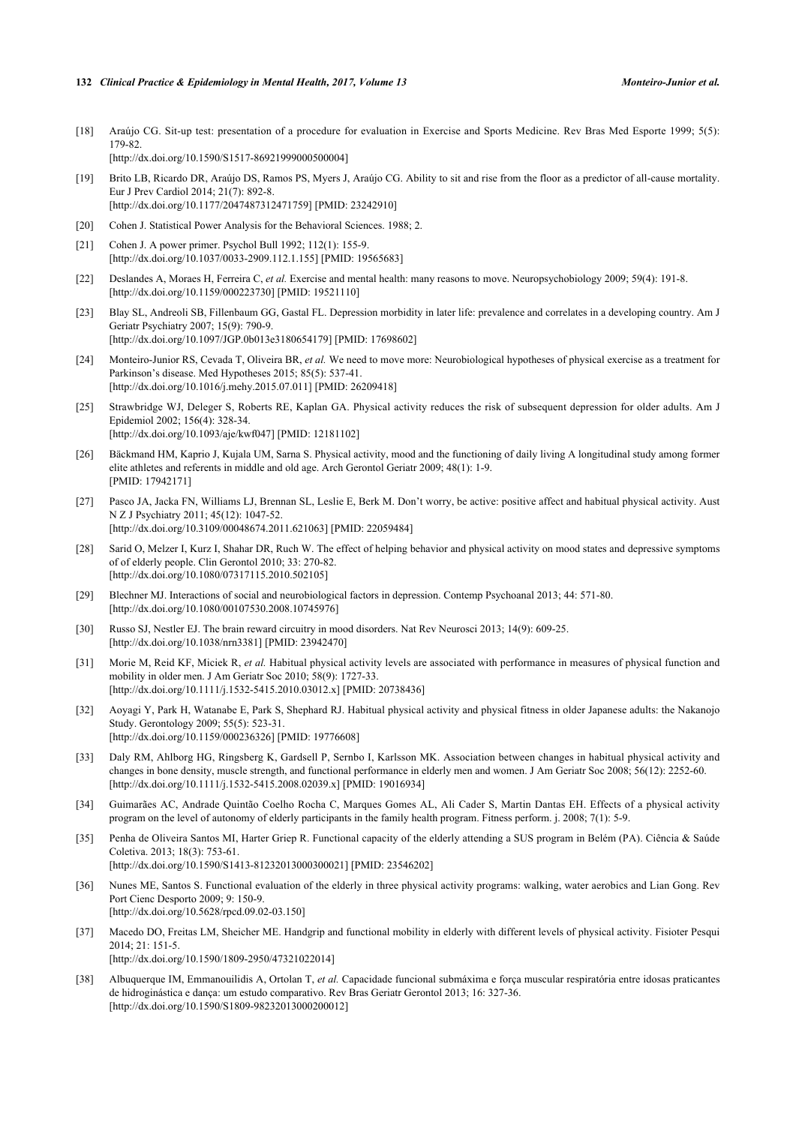#### **132** *Clinical Practice & Epidemiology in Mental Health, 2017, Volume 13 Monteiro-Junior et al.*

- <span id="page-7-0"></span>[18] Araújo CG. Sit-up test: presentation of a procedure for evaluation in Exercise and Sports Medicine. Rev Bras Med Esporte 1999; 5(5): 179-82. [\[http://dx.doi.org/10.1590/S1517-86921999000500004\]](http://dx.doi.org/10.1590/S1517-86921999000500004)
- <span id="page-7-1"></span>[19] Brito LB, Ricardo DR, Araújo DS, Ramos PS, Myers J, Araújo CG. Ability to sit and rise from the floor as a predictor of all-cause mortality. Eur J Prev Cardiol 2014; 21(7): 892-8. [\[http://dx.doi.org/10.1177/2047487312471759\]](http://dx.doi.org/10.1177/2047487312471759) [PMID: [23242910](http://www.ncbi.nlm.nih.gov/pubmed/23242910)]
- <span id="page-7-2"></span>[20] Cohen J. Statistical Power Analysis for the Behavioral Sciences. 1988; 2.
- <span id="page-7-3"></span>[21] Cohen J. A power primer. Psychol Bull 1992; 112(1): 155-9. [\[http://dx.doi.org/10.1037/0033-2909.112.1.155](http://dx.doi.org/10.1037/0033-2909.112.1.155)] [PMID: [19565683](http://www.ncbi.nlm.nih.gov/pubmed/19565683)]
- <span id="page-7-4"></span>[22] Deslandes A, Moraes H, Ferreira C, *et al.* Exercise and mental health: many reasons to move. Neuropsychobiology 2009; 59(4): 191-8. [\[http://dx.doi.org/10.1159/000223730\]](http://dx.doi.org/10.1159/000223730) [PMID: [19521110](http://www.ncbi.nlm.nih.gov/pubmed/19521110)]
- <span id="page-7-5"></span>[23] Blay SL, Andreoli SB, Fillenbaum GG, Gastal FL. Depression morbidity in later life: prevalence and correlates in a developing country. Am J Geriatr Psychiatry 2007; 15(9): 790-9. [\[http://dx.doi.org/10.1097/JGP.0b013e3180654179\]](http://dx.doi.org/10.1097/JGP.0b013e3180654179) [PMID: [17698602](http://www.ncbi.nlm.nih.gov/pubmed/17698602)]
- [24] Monteiro-Junior RS, Cevada T, Oliveira BR, *et al.* We need to move more: Neurobiological hypotheses of physical exercise as a treatment for Parkinson's disease. Med Hypotheses 2015; 85(5): 537-41. [\[http://dx.doi.org/10.1016/j.mehy.2015.07.011\]](http://dx.doi.org/10.1016/j.mehy.2015.07.011) [PMID: [26209418](http://www.ncbi.nlm.nih.gov/pubmed/26209418)]
- <span id="page-7-6"></span>[25] Strawbridge WJ, Deleger S, Roberts RE, Kaplan GA. Physical activity reduces the risk of subsequent depression for older adults. Am J Epidemiol 2002; 156(4): 328-34. [\[http://dx.doi.org/10.1093/aje/kwf047\]](http://dx.doi.org/10.1093/aje/kwf047) [PMID: [12181102](http://www.ncbi.nlm.nih.gov/pubmed/12181102)]
- <span id="page-7-7"></span>[26] Bäckmand HM, Kaprio J, Kujala UM, Sarna S. Physical activity, mood and the functioning of daily living A longitudinal study among former elite athletes and referents in middle and old age. Arch Gerontol Geriatr 2009; 48(1): 1-9. [PMID: [17942171\]](http://www.ncbi.nlm.nih.gov/pubmed/17942171)
- <span id="page-7-8"></span>[27] Pasco JA, Jacka FN, Williams LJ, Brennan SL, Leslie E, Berk M. Don't worry, be active: positive affect and habitual physical activity. Aust N Z J Psychiatry 2011; 45(12): 1047-52. [\[http://dx.doi.org/10.3109/00048674.2011.621063\]](http://dx.doi.org/10.3109/00048674.2011.621063) [PMID: [22059484](http://www.ncbi.nlm.nih.gov/pubmed/22059484)]
- <span id="page-7-9"></span>[28] Sarid O, Melzer I, Kurz I, Shahar DR, Ruch W. The effect of helping behavior and physical activity on mood states and depressive symptoms of of elderly people. Clin Gerontol 2010; 33: 270-82. [\[http://dx.doi.org/10.1080/07317115.2010.502105\]](http://dx.doi.org/10.1080/07317115.2010.502105)
- <span id="page-7-10"></span>[29] Blechner MJ. Interactions of social and neurobiological factors in depression. Contemp Psychoanal 2013; 44: 571-80. [\[http://dx.doi.org/10.1080/00107530.2008.10745976\]](http://dx.doi.org/10.1080/00107530.2008.10745976)
- <span id="page-7-11"></span>[30] Russo SJ, Nestler EJ. The brain reward circuitry in mood disorders. Nat Rev Neurosci 2013; 14(9): 609-25. [\[http://dx.doi.org/10.1038/nrn3381](http://dx.doi.org/10.1038/nrn3381)] [PMID: [23942470](http://www.ncbi.nlm.nih.gov/pubmed/23942470)]
- <span id="page-7-12"></span>[31] Morie M, Reid KF, Miciek R, et al. Habitual physical activity levels are associated with performance in measures of physical function and mobility in older men. J Am Geriatr Soc 2010; 58(9): 1727-33. [\[http://dx.doi.org/10.1111/j.1532-5415.2010.03012.x\]](http://dx.doi.org/10.1111/j.1532-5415.2010.03012.x) [PMID: [20738436](http://www.ncbi.nlm.nih.gov/pubmed/20738436)]
- <span id="page-7-13"></span>[32] Aoyagi Y, Park H, Watanabe E, Park S, Shephard RJ. Habitual physical activity and physical fitness in older Japanese adults: the Nakanojo Study. Gerontology 2009; 55(5): 523-31. [\[http://dx.doi.org/10.1159/000236326\]](http://dx.doi.org/10.1159/000236326) [PMID: [19776608](http://www.ncbi.nlm.nih.gov/pubmed/19776608)]
- <span id="page-7-14"></span>[33] Daly RM, Ahlborg HG, Ringsberg K, Gardsell P, Sernbo I, Karlsson MK. Association between changes in habitual physical activity and changes in bone density, muscle strength, and functional performance in elderly men and women. J Am Geriatr Soc 2008; 56(12): 2252-60. [\[http://dx.doi.org/10.1111/j.1532-5415.2008.02039.x\]](http://dx.doi.org/10.1111/j.1532-5415.2008.02039.x) [PMID: [19016934](http://www.ncbi.nlm.nih.gov/pubmed/19016934)]
- <span id="page-7-15"></span>[34] Guimarães AC, Andrade Quintão Coelho Rocha C, Marques Gomes AL, Ali Cader S, Martin Dantas EH. Effects of a physical activity program on the level of autonomy of elderly participants in the family health program. Fitness perform. j. 2008; 7(1): 5-9.
- <span id="page-7-16"></span>[35] Penha de Oliveira Santos MI, Harter Griep R. Functional capacity of the elderly attending a SUS program in Belém (PA). Ciência & Saúde Coletiva. 2013; 18(3): 753-61. [\[http://dx.doi.org/10.1590/S1413-81232013000300021\]](http://dx.doi.org/10.1590/S1413-81232013000300021) [PMID: [23546202](http://www.ncbi.nlm.nih.gov/pubmed/23546202)]
- <span id="page-7-17"></span>[36] Nunes ME, Santos S. Functional evaluation of the elderly in three physical activity programs: walking, water aerobics and Lian Gong. Rev Port Cienc Desporto 2009; 9: 150-9. [\[http://dx.doi.org/10.5628/rpcd.09.02-03.150\]](http://dx.doi.org/10.5628/rpcd.09.02-03.150)
- [37] Macedo DO, Freitas LM, Sheicher ME. Handgrip and functional mobility in elderly with different levels of physical activity. Fisioter Pesqui 2014; 21: 151-5. [\[http://dx.doi.org/10.1590/1809-2950/47321022014\]](http://dx.doi.org/10.1590/1809-2950/47321022014)
- <span id="page-7-18"></span>[38] Albuquerque IM, Emmanouilidis A, Ortolan T, *et al.* Capacidade funcional submáxima e força muscular respiratória entre idosas praticantes de hidroginástica e dança: um estudo comparativo. Rev Bras Geriatr Gerontol 2013; 16: 327-36. [\[http://dx.doi.org/10.1590/S1809-98232013000200012\]](http://dx.doi.org/10.1590/S1809-98232013000200012)